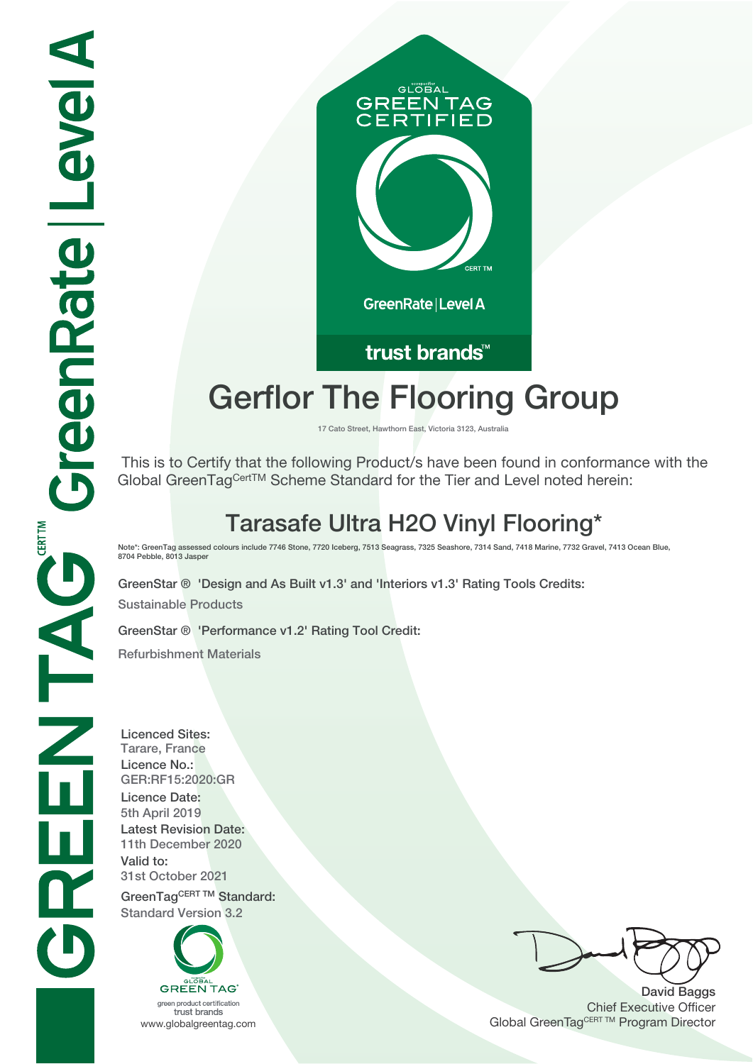

## trust brands<sup>™</sup>

# **Gerflor The Flooring Group**

**17 Cato Street, Hawthorn East, Victoria 3123, Australia**

 This is to Certify that the following Product/s have been found in conformance with the Global GreenTagCertTM Scheme Standard for the Tier and Level noted herein:

# **Tarasafe Ultra H2O Vinyl Flooring\***

**Note\*: GreenTag assessed colours include 7746 Stone, 7720 Iceberg, 7513 Seagrass, 7325 Seashore, 7314 Sand, 7418 Marine, 7732 Gravel, 7413 Ocean Blue, 8704 Pebble, 8013 Jasper**

**GreenStar ® 'Design and As Built v1.3' and 'Interiors v1.3' Rating Tools Credits: Sustainable Products**

**GreenStar ® 'Performance v1.2' Rating Tool Credit:**

**Refurbishment Materials**

**Licenced Sites: Tarare, France Licence No.: GER:RF15:2020:GR Licence Date: 5th April 2019 Latest Revision Date: 11th December 2020 Valid to: 31st October 2021** GreenTagCERT TM Standard: **Standard Version 3.2**

> **GREEN TAG** green product certification

trust brands

**David Baggs** Chief Executive Officer WWW.globalgreentag.com **Program Director** Channel Global GreenTagCERT TM Program Director